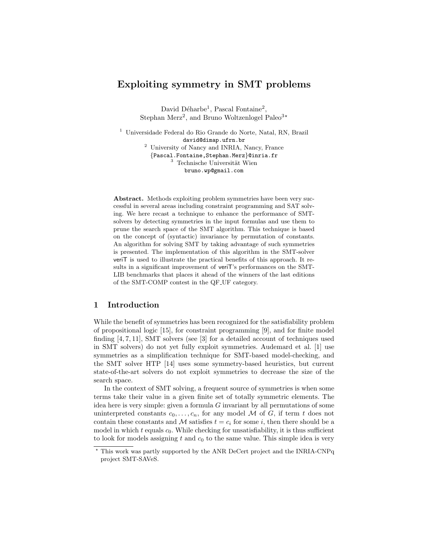# Exploiting symmetry in SMT problems

David Déharbe<sup>1</sup>, Pascal Fontaine<sup>2</sup>, Stephan Merz<sup>2</sup>, and Bruno Woltzenlogel Paleo<sup>3\*</sup>

<sup>1</sup> Universidade Federal do Rio Grande do Norte, Natal, RN, Brazil david@dimap.ufrn.br <sup>2</sup> University of Nancy and INRIA, Nancy, France {Pascal.Fontaine,Stephan.Merz}@inria.fr  $3$  Technische Universität Wien bruno.wp@gmail.com

Abstract. Methods exploiting problem symmetries have been very successful in several areas including constraint programming and SAT solving. We here recast a technique to enhance the performance of SMTsolvers by detecting symmetries in the input formulas and use them to prune the search space of the SMT algorithm. This technique is based on the concept of (syntactic) invariance by permutation of constants. An algorithm for solving SMT by taking advantage of such symmetries is presented. The implementation of this algorithm in the SMT-solver veriT is used to illustrate the practical benefits of this approach. It results in a significant improvement of veriT's performances on the SMT-LIB benchmarks that places it ahead of the winners of the last editions of the SMT-COMP contest in the QF UF category.

# 1 Introduction

While the benefit of symmetries has been recognized for the satisfiability problem of propositional logic [15], for constraint programming [9], and for finite model finding [4, 7, 11], SMT solvers (see [3] for a detailed account of techniques used in SMT solvers) do not yet fully exploit symmetries. Audemard et al. [1] use symmetries as a simplification technique for SMT-based model-checking, and the SMT solver HTP [14] uses some symmetry-based heuristics, but current state-of-the-art solvers do not exploit symmetries to decrease the size of the search space.

In the context of SMT solving, a frequent source of symmetries is when some terms take their value in a given finite set of totally symmetric elements. The idea here is very simple: given a formula  $G$  invariant by all permutations of some uninterpreted constants  $c_0, \ldots, c_n$ , for any model M of G, if term t does not contain these constants and M satisfies  $t = c_i$  for some i, then there should be a model in which  $t$  equals  $c_0$ . While checking for unsatisfiability, it is thus sufficient to look for models assigning  $t$  and  $c_0$  to the same value. This simple idea is very

<sup>?</sup> This work was partly supported by the ANR DeCert project and the INRIA-CNPq project SMT-SAVeS.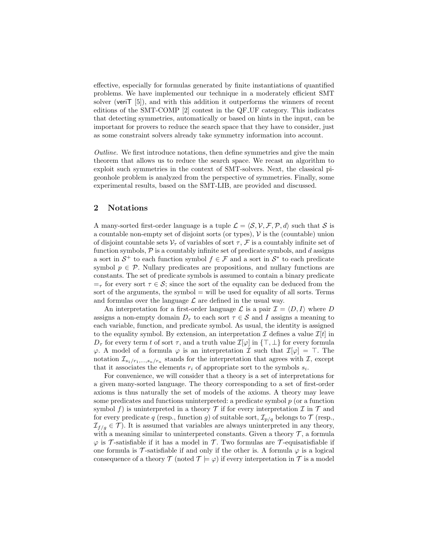effective, especially for formulas generated by finite instantiations of quantified problems. We have implemented our technique in a moderately efficient SMT solver (veriT [5]), and with this addition it outperforms the winners of recent editions of the SMT-COMP [2] contest in the QF UF category. This indicates that detecting symmetries, automatically or based on hints in the input, can be important for provers to reduce the search space that they have to consider, just as some constraint solvers already take symmetry information into account.

Outline. We first introduce notations, then define symmetries and give the main theorem that allows us to reduce the search space. We recast an algorithm to exploit such symmetries in the context of SMT-solvers. Next, the classical pigeonhole problem is analyzed from the perspective of symmetries. Finally, some experimental results, based on the SMT-LIB, are provided and discussed.

# 2 Notations

A many-sorted first-order language is a tuple  $\mathcal{L} = \langle \mathcal{S}, \mathcal{V}, \mathcal{F}, \mathcal{P}, d \rangle$  such that S is a countable non-empty set of disjoint sorts (or types),  $\mathcal V$  is the (countable) union of disjoint countable sets  $\mathcal{V}_{\tau}$  of variables of sort  $\tau$ , F is a countably infinite set of function symbols,  $P$  is a countably infinite set of predicate symbols, and  $d$  assigns a sort in  $\mathcal{S}^+$  to each function symbol  $f \in \mathcal{F}$  and a sort in  $\mathcal{S}^*$  to each predicate symbol  $p \in \mathcal{P}$ . Nullary predicates are propositions, and nullary functions are constants. The set of predicate symbols is assumed to contain a binary predicate  $=$ τ for every sort  $\tau \in \mathcal{S}$ ; since the sort of the equality can be deduced from the sort of the arguments, the symbol  $=$  will be used for equality of all sorts. Terms and formulas over the language  $\mathcal L$  are defined in the usual way.

An interpretation for a first-order language  $\mathcal L$  is a pair  $\mathcal I = \langle D, I \rangle$  where D assigns a non-empty domain  $D_{\tau}$  to each sort  $\tau \in \mathcal{S}$  and I assigns a meaning to each variable, function, and predicate symbol. As usual, the identity is assigned to the equality symbol. By extension, an interpretation  $\mathcal I$  defines a value  $\mathcal I[t]$  in  $D_{\tau}$  for every term t of sort  $\tau$ , and a truth value  $\mathcal{I}[\varphi]$  in  $\{\top, \bot\}$  for every formula  $\varphi$ . A model of a formula  $\varphi$  is an interpretation I such that  $\mathcal{I}[\varphi] = \top$ . The notation  $\mathcal{I}_{s_1/r_1,\ldots,s_n/r_n}$  stands for the interpretation that agrees with  $\mathcal{I}$ , except that it associates the elements  $r_i$  of appropriate sort to the symbols  $s_i$ .

For convenience, we will consider that a theory is a set of interpretations for a given many-sorted language. The theory corresponding to a set of first-order axioms is thus naturally the set of models of the axioms. A theory may leave some predicates and functions uninterpreted: a predicate symbol  $p$  (or a function symbol f) is uninterpreted in a theory  $\mathcal T$  if for every interpretation  $\mathcal I$  in  $\mathcal T$  and for every predicate q (resp., function g) of suitable sort,  $\mathcal{I}_{p/q}$  belongs to  $\mathcal{T}$  (resp.,  $\mathcal{I}_{f/g} \in \mathcal{T}$ ). It is assumed that variables are always uninterpreted in any theory, with a meaning similar to uninterpreted constants. Given a theory  $\mathcal{T}$ , a formula  $\varphi$  is T-satisfiable if it has a model in T. Two formulas are T-equisatisfiable if one formula is  $\mathcal T$ -satisfiable if and only if the other is. A formula  $\varphi$  is a logical consequence of a theory  $\mathcal T$  (noted  $\mathcal T \models \varphi$ ) if every interpretation in  $\mathcal T$  is a model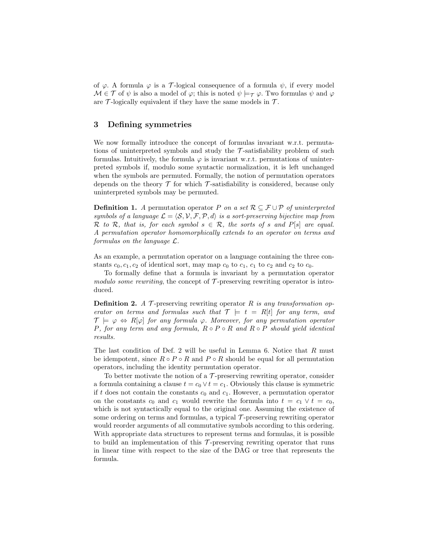of  $\varphi$ . A formula  $\varphi$  is a T-logical consequence of a formula  $\psi$ , if every model  $\mathcal{M} \in \mathcal{T}$  of  $\psi$  is also a model of  $\varphi$ ; this is noted  $\psi \models_{\mathcal{T}} \varphi$ . Two formulas  $\psi$  and  $\varphi$ are  $\mathcal T$ -logically equivalent if they have the same models in  $\mathcal T$ .

## 3 Defining symmetries

We now formally introduce the concept of formulas invariant w.r.t. permutations of uninterpreted symbols and study the  $\mathcal T$ -satisfiability problem of such formulas. Intuitively, the formula  $\varphi$  is invariant w.r.t. permutations of uninterpreted symbols if, modulo some syntactic normalization, it is left unchanged when the symbols are permuted. Formally, the notion of permutation operators depends on the theory  $\mathcal T$  for which  $\mathcal T$ -satisfiability is considered, because only uninterpreted symbols may be permuted.

**Definition 1.** A permutation operator P on a set  $\mathcal{R} \subseteq \mathcal{F} \cup \mathcal{P}$  of uninterpreted symbols of a language  $\mathcal{L} = \langle \mathcal{S}, \mathcal{V}, \mathcal{F}, \mathcal{P}, d \rangle$  is a sort-preserving bijective map from R to R, that is, for each symbol  $s \in \mathcal{R}$ , the sorts of s and  $P[s]$  are equal. A permutation operator homomorphically extends to an operator on terms and formulas on the language  $\mathcal{L}$ .

As an example, a permutation operator on a language containing the three constants  $c_0, c_1, c_2$  of identical sort, may map  $c_0$  to  $c_1$ ,  $c_1$  to  $c_2$  and  $c_2$  to  $c_0$ .

To formally define that a formula is invariant by a permutation operator modulo some rewriting, the concept of  $\mathcal T$ -preserving rewriting operator is introduced.

**Definition 2.** A  $\mathcal{T}$ -preserving rewriting operator R is any transformation operator on terms and formulas such that  $\mathcal{T} \models t = R[t]$  for any term, and  $\mathcal{T} \models \varphi \Leftrightarrow R[\varphi]$  for any formula  $\varphi$ . Moreover, for any permutation operator P, for any term and any formula,  $R \circ P \circ R$  and  $R \circ P$  should yield identical results.

The last condition of Def. 2 will be useful in Lemma 6. Notice that R must be idempotent, since  $R \circ P \circ R$  and  $P \circ R$  should be equal for all permutation operators, including the identity permutation operator.

To better motivate the notion of a  $\mathcal T$ -preserving rewriting operator, consider a formula containing a clause  $t = c_0 \vee t = c_1$ . Obviously this clause is symmetric if t does not contain the constants  $c_0$  and  $c_1$ . However, a permutation operator on the constants  $c_0$  and  $c_1$  would rewrite the formula into  $t = c_1 \vee t = c_0$ , which is not syntactically equal to the original one. Assuming the existence of some ordering on terms and formulas, a typical  $\mathcal T$ -preserving rewriting operator would reorder arguments of all commutative symbols according to this ordering. With appropriate data structures to represent terms and formulas, it is possible to build an implementation of this  $\mathcal T$ -preserving rewriting operator that runs in linear time with respect to the size of the DAG or tree that represents the formula.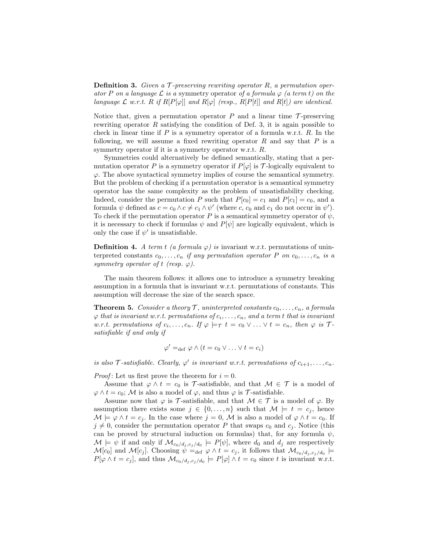**Definition 3.** Given a  $\mathcal{T}$ -preserving rewriting operator R, a permutation operator P on a language L is a symmetry operator of a formula  $\varphi$  (a term t) on the language  $\mathcal L$  w.r.t. R if  $R[P[\varphi]]$  and  $R[\varphi]$  (resp.,  $R[P[t]]$  and  $R[t]$ ) are identical.

Notice that, given a permutation operator  $P$  and a linear time  $\mathcal{T}$ -preserving rewriting operator  $R$  satisfying the condition of Def. 3, it is again possible to check in linear time if  $P$  is a symmetry operator of a formula w.r.t.  $R$ . In the following, we will assume a fixed rewriting operator  $R$  and say that  $P$  is a symmetry operator if it is a symmetry operator w.r.t. R.

Symmetries could alternatively be defined semantically, stating that a permutation operator P is a symmetry operator if  $P[\varphi]$  is T-logically equivalent to  $\varphi$ . The above syntactical symmetry implies of course the semantical symmetry. But the problem of checking if a permutation operator is a semantical symmetry operator has the same complexity as the problem of unsatisfiability checking. Indeed, consider the permutation P such that  $P[c_0] = c_1$  and  $P[c_1] = c_0$ , and a formula  $\psi$  defined as  $c = c_0 \wedge c \neq c_1 \wedge \psi'$  (where c,  $c_0$  and  $c_1$  do not occur in  $\psi'$ ). To check if the permutation operator P is a semantical symmetry operator of  $\psi$ , it is necessary to check if formulas  $\psi$  and  $P[\psi]$  are logically equivalent, which is only the case if  $\psi'$  is unsatisfiable.

**Definition 4.** A term t (a formula  $\varphi$ ) is invariant w.r.t. permutations of uninterpreted constants  $c_0, \ldots, c_n$  if any permutation operator P on  $c_0, \ldots, c_n$  is a symmetry operator of t (resp.  $\varphi$ ).

The main theorem follows: it allows one to introduce a symmetry breaking assumption in a formula that is invariant w.r.t. permutations of constants. This assumption will decrease the size of the search space.

**Theorem 5.** Consider a theory  $\mathcal{T}$ , uninterpreted constants  $c_0, \ldots, c_n$ , a formula  $\varphi$  that is invariant w.r.t. permutations of  $c_i,\ldots,c_n,$  and a term t that is invariant w.r.t. permutations of  $c_i, \ldots, c_n$ . If  $\varphi \models_{\tau} t = c_0 \vee \ldots \vee t = c_n$ , then  $\varphi$  is  $\tau$ satisfiable if and only if

$$
\varphi' =_{\text{def}} \varphi \wedge (t = c_0 \vee \ldots \vee t = c_i)
$$

is also T-satisfiable. Clearly,  $\varphi'$  is invariant w.r.t. permutations of  $c_{i+1}, \ldots, c_n$ .

*Proof*: Let us first prove the theorem for  $i = 0$ .

Assume that  $\varphi \wedge t = c_0$  is T-satisfiable, and that  $\mathcal{M} \in \mathcal{T}$  is a model of  $\varphi \wedge t = c_0$ ; M is also a model of  $\varphi$ , and thus  $\varphi$  is T-satisfiable.

Assume now that  $\varphi$  is T-satisfiable, and that  $\mathcal{M} \in \mathcal{T}$  is a model of  $\varphi$ . By assumption there exists some  $j \in \{0, \ldots, n\}$  such that  $\mathcal{M} \models t = c_j$ , hence  $\mathcal{M} \models \varphi \land t = c_j$ . In the case where  $j = 0$ ,  $\mathcal{M}$  is also a model of  $\varphi \land t = c_0$ . If  $j \neq 0$ , consider the permutation operator P that swaps  $c_0$  and  $c_j$ . Notice (this can be proved by structural induction on formulas) that, for any formula  $\psi$ ,  $\mathcal{M} \models \psi$  if and only if  $\mathcal{M}_{c_0/d_j, c_j/d_0} \models P[\psi]$ , where  $d_0$  and  $d_j$  are respectively  $\mathcal{M}[c_0]$  and  $\mathcal{M}[c_j]$ . Choosing  $\psi =_{\text{def}} \varphi \wedge t = c_j$ , it follows that  $\mathcal{M}_{c_0/d_j, c_j/d_0} \models$  $P[\varphi \wedge t = c_j]$ , and thus  $\mathcal{M}_{c_0/d_j, c_j/d_0} \models P[\varphi] \wedge t = c_0$  since t is invariant w.r.t.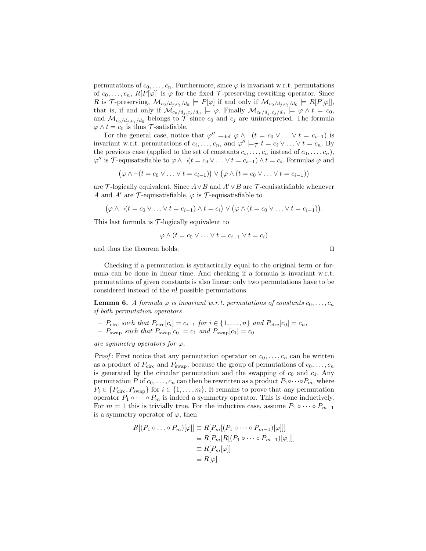permutations of  $c_0, \ldots, c_n$ . Furthermore, since  $\varphi$  is invariant w.r.t. permutations of  $c_0, \ldots, c_n$ ,  $R[P[\varphi]]$  is  $\varphi$  for the fixed  $\mathcal T$ -preserving rewriting operator. Since R is T-preserving,  $\mathcal{M}_{c_0/d_j, c_j/d_0} \models P[\varphi]$  if and only if  $\mathcal{M}_{c_0/d_j, c_j/d_0} \models R[P[\varphi]],$ that is, if and only if  $\mathcal{M}_{c_0/d_j, c_j/d_0} \models \varphi$ . Finally  $\mathcal{M}_{c_0/d_j, c_j/d_0} \models \varphi \wedge t = c_0$ , and  $\mathcal{M}_{c_0/d_j, c_j/d_0}$  belongs to  $\mathcal{T}$  since  $c_0$  and  $c_j$  are uninterpreted. The formula  $\varphi \wedge t = c_0$  is thus T-satisfiable.

For the general case, notice that  $\varphi'' =_{def} \varphi \wedge \neg(t = c_0 \vee \dots \vee t = c_{i-1})$  is invariant w.r.t. permutations of  $c_i, \ldots, c_n$ , and  $\varphi'' \models_{\mathcal{T}} t = c_i \vee \ldots \vee t = c_n$ . By the previous case (applied to the set of constants  $c_i, \ldots, c_n$  instead of  $c_0, \ldots, c_n$ ),  $\varphi''$  is  $\mathcal{T}$ -equisatisfiable to  $\varphi \wedge \neg(t = c_0 \vee \ldots \vee t = c_{i-1}) \wedge t = c_i$ . Formulas  $\varphi$  and

$$
(\varphi \wedge \neg(t = c_0 \vee \ldots \vee t = c_{i-1})) \vee (\varphi \wedge (t = c_0 \vee \ldots \vee t = c_{i-1}))
$$

are T-logically equivalent. Since  $A \vee B$  and  $A' \vee B$  are T-equisatisfiable whenever A and A' are T-equisatisfiable,  $\varphi$  is T-equisatisfiable to

$$
(\varphi \wedge \neg(t = c_0 \vee \ldots \vee t = c_{i-1}) \wedge t = c_i) \vee (\varphi \wedge (t = c_0 \vee \ldots \vee t = c_{i-1})).
$$

This last formula is  $\mathcal{T}$ -logically equivalent to

$$
\varphi \wedge (t = c_0 \vee \ldots \vee t = c_{i-1} \vee t = c_i)
$$

and thus the theorem holds.  $\hfill \square$ 

Checking if a permutation is syntactically equal to the original term or formula can be done in linear time. And checking if a formula is invariant w.r.t. permutations of given constants is also linear: only two permutations have to be considered instead of the n! possible permutations.

**Lemma 6.** A formula  $\varphi$  is invariant w.r.t. permutations of constants  $c_0, \ldots, c_n$ if both permutation operators

 $P_{\text{circ}}$  such that  $P_{\text{circ}}[c_i] = c_{i-1}$  for  $i \in \{1, \ldots, n\}$  and  $P_{\text{circ}}[c_0] = c_n$ , –  $P_{swap}$  such that  $P_{swap}[c_0] = c_1$  and  $P_{swap}[c_1] = c_0$ 

are symmetry operators for  $\varphi$ .

*Proof*: First notice that any permutation operator on  $c_0, \ldots, c_n$  can be written as a product of  $P_{\text{circ}}$  and  $P_{\text{swap}}$ , because the group of permutations of  $c_0, \ldots, c_n$ is generated by the circular permutation and the swapping of  $c_0$  and  $c_1$ . Any permutation P of  $c_0, \ldots, c_n$  can then be rewritten as a product  $P_1 \circ \cdots \circ P_m$ , where  $P_i \in \{P_{\text{circ}}, P_{\text{swap}}\}$  for  $i \in \{1, \dots, m\}$ . It remains to prove that any permutation operator  $P_1 \circ \cdots \circ P_m$  is indeed a symmetry operator. This is done inductively. For  $m = 1$  this is trivially true. For the inductive case, assume  $P_1 \circ \cdots \circ P_{m-1}$ is a symmetry operator of  $\varphi$ , then

$$
R[(P_1 \circ \dots \circ P_m)[\varphi]] \equiv R[P_m[(P_1 \circ \dots \circ P_{m-1})[\varphi]]]
$$
  
\n
$$
\equiv R[P_m[R[(P_1 \circ \dots \circ P_{m-1})[\varphi]]]]
$$
  
\n
$$
\equiv R[P_m[\varphi]]
$$
  
\n
$$
\equiv R[\varphi]
$$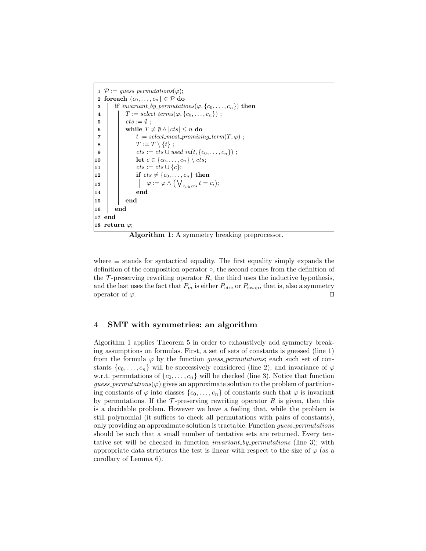

Algorithm 1: A symmetry breaking preprocessor.

where  $\equiv$  stands for syntactical equality. The first equality simply expands the definition of the composition operator ◦, the second comes from the definition of the  $\mathcal T$ -preserving rewriting operator  $R$ , the third uses the inductive hypothesis, and the last uses the fact that  $P_m$  is either  $P_{\text{circ}}$  or  $P_{\text{swap}}$ , that is, also a symmetry operator of  $\varphi$ .

## 4 SMT with symmetries: an algorithm

Algorithm 1 applies Theorem 5 in order to exhaustively add symmetry breaking assumptions on formulas. First, a set of sets of constants is guessed (line 1) from the formula  $\varphi$  by the function *guess\_permutations*; each such set of constants  $\{c_0, \ldots, c_n\}$  will be successively considered (line 2), and invariance of  $\varphi$ w.r.t. permutations of  $\{c_0, \ldots, c_n\}$  will be checked (line 3). Notice that function  $guess\_permutations(\varphi)$  gives an approximate solution to the problem of partitioning constants of  $\varphi$  into classes  $\{c_0, \ldots, c_n\}$  of constants such that  $\varphi$  is invariant by permutations. If the  $\mathcal T$ -preserving rewriting operator  $R$  is given, then this is a decidable problem. However we have a feeling that, while the problem is still polynomial (it suffices to check all permutations with pairs of constants), only providing an approximate solution is tractable. Function guess permutations should be such that a small number of tentative sets are returned. Every tentative set will be checked in function invariant by permutations (line 3); with appropriate data structures the test is linear with respect to the size of  $\varphi$  (as a corollary of Lemma 6).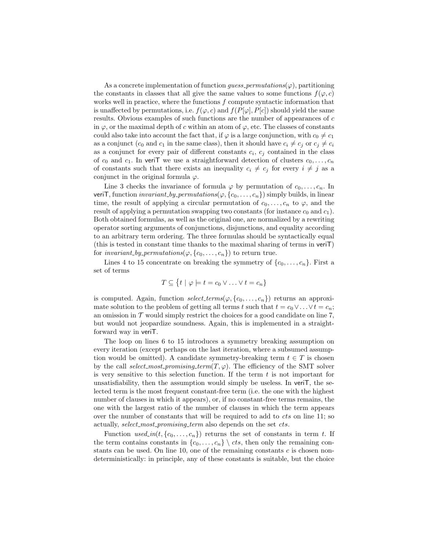As a concrete implementation of function *guess\_permutations(* $\varphi$ *)*, partitioning the constants in classes that all give the same values to some functions  $f(\varphi, c)$ works well in practice, where the functions  $f$  compute syntactic information that is unaffected by permutations, i.e.  $f(\varphi, c)$  and  $f(P[\varphi], P[c])$  should yield the same results. Obvious examples of such functions are the number of appearances of c in  $\varphi$ , or the maximal depth of c within an atom of  $\varphi$ , etc. The classes of constants could also take into account the fact that, if  $\varphi$  is a large conjunction, with  $c_0 \neq c_1$ as a conjunct  $(c_0 \text{ and } c_1 \text{ in the same class})$ , then it should have  $c_i \neq c_j$  or  $c_j \neq c_i$ as a conjunct for every pair of different constants  $c_i$ ,  $c_j$  contained in the class of  $c_0$  and  $c_1$ . In veriT we use a straightforward detection of clusters  $c_0, \ldots, c_n$ of constants such that there exists an inequality  $c_i \neq c_j$  for every  $i \neq j$  as a conjunct in the original formula  $\varphi$ .

Line 3 checks the invariance of formula  $\varphi$  by permutation of  $c_0, \ldots, c_n$ . In veriT, function *invariant\_by\_permutations*( $\varphi$ , { $c_0$ , . . . ,  $c_n$ }) simply builds, in linear time, the result of applying a circular permutation of  $c_0, \ldots, c_n$  to  $\varphi$ , and the result of applying a permutation swapping two constants (for instance  $c_0$  and  $c_1$ ). Both obtained formulas, as well as the original one, are normalized by a rewriting operator sorting arguments of conjunctions, disjunctions, and equality according to an arbitrary term ordering. The three formulas should be syntactically equal (this is tested in constant time thanks to the maximal sharing of terms in veriT) for *invariant\_by\_permutations* $(\varphi, \{c_0, \ldots, c_n\})$  to return true.

Lines 4 to 15 concentrate on breaking the symmetry of  $\{c_0, \ldots, c_n\}$ . First a set of terms

$$
T \subseteq \{t \mid \varphi \models t = c_0 \vee \ldots \vee t = c_n\}
$$

is computed. Again, function select\_terms( $\varphi$ , { $c_0$ , ...,  $c_n$ }) returns an approximate solution to the problem of getting all terms t such that  $t = c_0 ∨ ... ∨ t = c_n$ ; an omission in  $\mathcal T$  would simply restrict the choices for a good candidate on line 7, but would not jeopardize soundness. Again, this is implemented in a straightforward way in veriT.

The loop on lines 6 to 15 introduces a symmetry breaking assumption on every iteration (except perhaps on the last iteration, where a subsumed assumption would be omitted). A candidate symmetry-breaking term  $t \in T$  is chosen by the call select most promising term $(T, \varphi)$ . The efficiency of the SMT solver is very sensitive to this selection function. If the term  $t$  is not important for unsatisfiability, then the assumption would simply be useless. In veriT, the selected term is the most frequent constant-free term (i.e. the one with the highest number of clauses in which it appears), or, if no constant-free terms remains, the one with the largest ratio of the number of clauses in which the term appears over the number of constants that will be required to add to *cts* on line 11; so actually, select\_most\_promising\_term also depends on the set cts.

Function used in(t,  $\{c_0, \ldots, c_n\}$ ) returns the set of constants in term t. If the term contains constants in  $\{c_0, \ldots, c_n\} \setminus \mathit{cts},$  then only the remaining constants can be used. On line 10, one of the remaining constants  $c$  is chosen nondeterministically: in principle, any of these constants is suitable, but the choice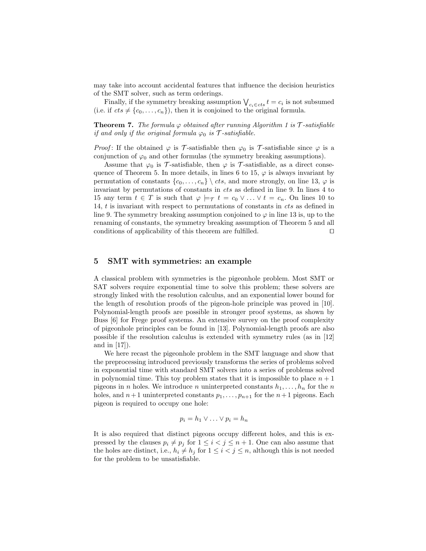may take into account accidental features that influence the decision heuristics of the SMT solver, such as term orderings.

Finally, if the symmetry breaking assumption  $\bigvee_{c_i \in \text{cts}} t = c_i$  is not subsumed (i.e. if  $cts \neq \{c_0, \ldots, c_n\}$ ), then it is conjoined to the original formula.

**Theorem 7.** The formula  $\varphi$  obtained after running Algorithm 1 is  $\mathcal{T}$ -satisfiable if and only if the original formula  $\varphi_0$  is T-satisfiable.

*Proof*: If the obtained  $\varphi$  is  $\tau$ -satisfiable then  $\varphi_0$  is  $\tau$ -satisfiable since  $\varphi$  is a conjunction of  $\varphi_0$  and other formulas (the symmetry breaking assumptions).

Assume that  $\varphi_0$  is T-satisfiable, then  $\varphi$  is T-satisfiable, as a direct consequence of Theorem 5. In more details, in lines 6 to 15,  $\varphi$  is always invariant by permutation of constants  $\{c_0, \ldots, c_n\} \setminus \mathit{cts},$  and more strongly, on line 13,  $\varphi$  is invariant by permutations of constants in cts as defined in line 9. In lines 4 to 15 any term  $t \in T$  is such that  $\varphi \models_{\mathcal{T}} t = c_0 \vee \ldots \vee t = c_n$ . On lines 10 to 14, t is invariant with respect to permutations of constants in cts as defined in line 9. The symmetry breaking assumption conjoined to  $\varphi$  in line 13 is, up to the renaming of constants, the symmetry breaking assumption of Theorem 5 and all conditions of applicability of this theorem are fulfilled.  $\Box$ 

## 5 SMT with symmetries: an example

A classical problem with symmetries is the pigeonhole problem. Most SMT or SAT solvers require exponential time to solve this problem; these solvers are strongly linked with the resolution calculus, and an exponential lower bound for the length of resolution proofs of the pigeon-hole principle was proved in [10]. Polynomial-length proofs are possible in stronger proof systems, as shown by Buss [6] for Frege proof systems. An extensive survey on the proof complexity of pigeonhole principles can be found in [13]. Polynomial-length proofs are also possible if the resolution calculus is extended with symmetry rules (as in [12] and in [17]).

We here recast the pigeonhole problem in the SMT language and show that the preprocessing introduced previously transforms the series of problems solved in exponential time with standard SMT solvers into a series of problems solved in polynomial time. This toy problem states that it is impossible to place  $n + 1$ pigeons in *n* holes. We introduce *n* uninterpreted constants  $h_1, \ldots, h_n$  for the *n* holes, and  $n+1$  uninterpreted constants  $p_1, \ldots, p_{n+1}$  for the  $n+1$  pigeons. Each pigeon is required to occupy one hole:

$$
p_i = h_1 \vee \ldots \vee p_i = h_n
$$

It is also required that distinct pigeons occupy different holes, and this is expressed by the clauses  $p_i \neq p_j$  for  $1 \leq i < j \leq n+1$ . One can also assume that the holes are distinct, i.e.,  $h_i \neq h_j$  for  $1 \leq i < j \leq n$ , although this is not needed for the problem to be unsatisfiable.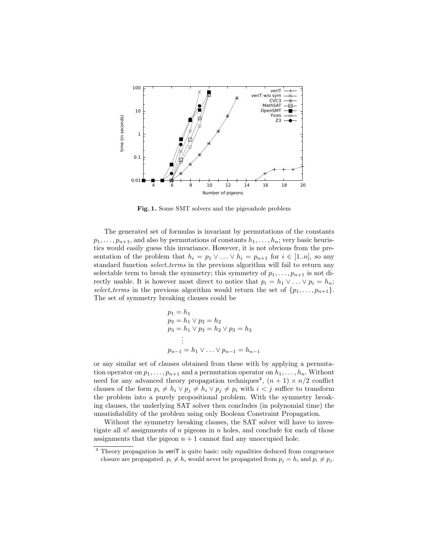

Fig. 1. Some SMT solvers and the pigeonhole problem

The generated set of formulas is invariant by permutations of the constants  $p_1, \ldots, p_{n+1}$ , and also by permutations of constants  $h_1, \ldots, h_n$ ; very basic heuristics would easily guess this invariance. However, it is not obvious from the presentation of the problem that  $h_i = p_1 \vee \ldots \vee h_i = p_{n+1}$  for  $i \in [1..n]$ , so any standard function *select\_terms* in the previous algorithm will fail to return any selectable term to break the symmetry; this symmetry of  $p_1, \ldots, p_{n+1}$  is not directly usable. It is however most direct to notice that  $p_i = h_1 \vee \ldots \vee p_i = h_n$ ; select terms in the previous algorithm would return the set of  $\{p_1, \ldots, p_{n+1}\}.$ The set of symmetry breaking clauses could be

$$
p_1 = h_1
$$
  
\n
$$
p_2 = h_1 \vee p_2 = h_2
$$
  
\n
$$
p_3 = h_1 \vee p_3 = h_2 \vee p_3 = h_3
$$
  
\n:  
\n:  
\n
$$
p_{n-1} = h_1 \vee \dots \vee p_{n-1} = h_{n-1}
$$

or any similar set of clauses obtained from these with by applying a permutation operator on  $p_1, \ldots, p_{n+1}$  and a permutation operator on  $h_1, \ldots, h_n$ . Without need for any advanced theory propagation techniques<sup>4</sup>,  $(n + 1) \times n/2$  conflict clauses of the form  $p_i \neq h_i \vee p_j \neq h_i \vee p_j \neq p_i$  with  $i < j$  suffice to transform the problem into a purely propositional problem. With the symmetry breaking clauses, the underlying SAT solver then concludes (in polynomial time) the unsatisfiability of the problem using only Boolean Constraint Propagation.

Without the symmetry breaking clauses, the SAT solver will have to investigate all  $n!$  assignments of  $n$  pigeons in  $n$  holes, and conclude for each of those assignments that the pigeon  $n + 1$  cannot find any unoccupied hole.

<sup>&</sup>lt;sup>4</sup> Theory propagation in veriT is quite basic: only equalities deduced from congruence closure are propagated.  $p_i \neq h_i$  would never be propagated from  $p_j = h_i$  and  $p_i \neq p_j$ .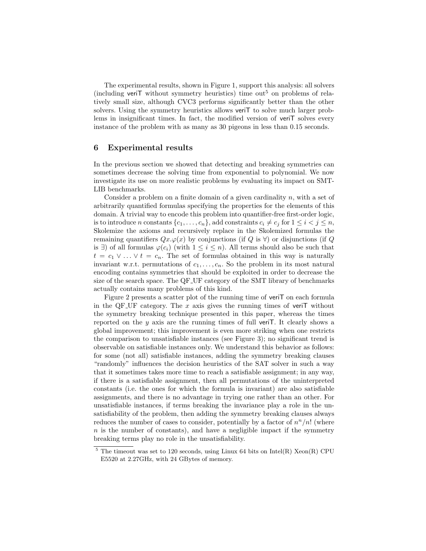The experimental results, shown in Figure 1, support this analysis: all solvers (including veriT without symmetry heuristics) time out<sup>5</sup> on problems of relatively small size, although CVC3 performs significantly better than the other solvers. Using the symmetry heuristics allows veriT to solve much larger problems in insignificant times. In fact, the modified version of veriT solves every instance of the problem with as many as 30 pigeons in less than 0.15 seconds.

## 6 Experimental results

In the previous section we showed that detecting and breaking symmetries can sometimes decrease the solving time from exponential to polynomial. We now investigate its use on more realistic problems by evaluating its impact on SMT-LIB benchmarks.

Consider a problem on a finite domain of a given cardinality n, with a set of arbitrarily quantified formulas specifying the properties for the elements of this domain. A trivial way to encode this problem into quantifier-free first-order logic, is to introduce *n* constants  $\{c_1, \ldots, c_n\}$ , add constraints  $c_i \neq c_j$  for  $1 \leq i < j \leq n$ , Skolemize the axioms and recursively replace in the Skolemized formulas the remaining quantifiers  $Qx.\varphi(x)$  by conjunctions (if Q is  $\forall$ ) or disjunctions (if Q is  $\exists$ ) of all formulas  $\varphi(c_i)$  (with  $1 \leq i \leq n$ ). All terms should also be such that  $t = c_1 \vee \ldots \vee t = c_n$ . The set of formulas obtained in this way is naturally invariant w.r.t. permutations of  $c_1, \ldots, c_n$ . So the problem in its most natural encoding contains symmetries that should be exploited in order to decrease the size of the search space. The QF UF category of the SMT library of benchmarks actually contains many problems of this kind.

Figure 2 presents a scatter plot of the running time of veriT on each formula in the QF<sub>-</sub>UF category. The  $x$  axis gives the running times of veriT without the symmetry breaking technique presented in this paper, whereas the times reported on the  $y$  axis are the running times of full verit. It clearly shows a global improvement; this improvement is even more striking when one restricts the comparison to unsatisfiable instances (see Figure 3); no significant trend is observable on satisfiable instances only. We understand this behavior as follows: for some (not all) satisfiable instances, adding the symmetry breaking clauses "randomly" influences the decision heuristics of the SAT solver in such a way that it sometimes takes more time to reach a satisfiable assignment; in any way, if there is a satisfiable assignment, then all permutations of the uninterpreted constants (i.e. the ones for which the formula is invariant) are also satisfiable assignments, and there is no advantage in trying one rather than an other. For unsatisfiable instances, if terms breaking the invariance play a role in the unsatisfiability of the problem, then adding the symmetry breaking clauses always reduces the number of cases to consider, potentially by a factor of  $n^n/n!$  (where  $n$  is the number of constants), and have a negligible impact if the symmetry breaking terms play no role in the unsatisfiability.

 $5$  The timeout was set to 120 seconds, using Linux 64 bits on Intel(R) Xeon(R) CPU E5520 at 2.27GHz, with 24 GBytes of memory.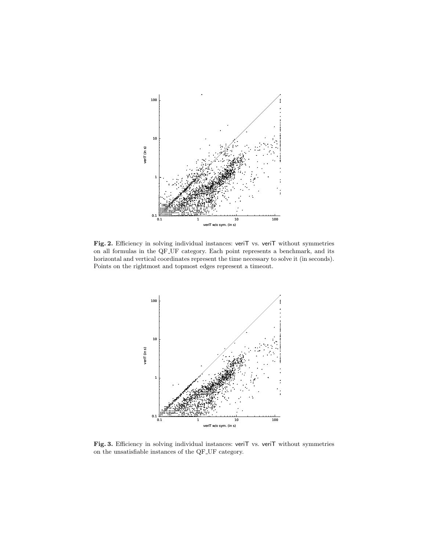

Fig. 2. Efficiency in solving individual instances: veriT vs. veriT without symmetries on all formulas in the QF UF category. Each point represents a benchmark, and its horizontal and vertical coordinates represent the time necessary to solve it (in seconds). Points on the rightmost and topmost edges represent a timeout.



Fig. 3. Efficiency in solving individual instances: veriT vs. veriT without symmetries on the unsatisfiable instances of the QF UF category.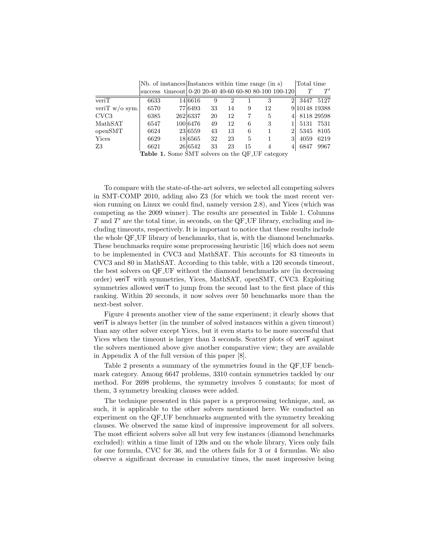|                   |      | success timeout 0-20 20-40 40-60 60-80 80-100 100-120 |          |    |    |              |                |            |      | T'            |
|-------------------|------|-------------------------------------------------------|----------|----|----|--------------|----------------|------------|------|---------------|
| veriT             | 6633 |                                                       | 14 66 16 | 9  | 2  |              | 3              | 21         |      | 3447 5127     |
| veri $T$ w/o sym. | 6570 |                                                       | 77 6493  | 33 | 14 | 9            | 12             |            |      | 9 10148 19388 |
| CVC3              | 6385 |                                                       | 262 6337 | 20 | 12 |              | 5              | 41         |      | 8118 29598    |
| MathSAT           | 6547 |                                                       | 100 6476 | 49 | 12 | 6            | 3              |            | 5131 | 7531          |
| openSMT           | 6624 |                                                       | 23 6559  | 43 | 13 | 6            |                | $\sqrt{2}$ | 5345 | 8105          |
| Yices             | 6629 |                                                       | 18 6565  | 32 | 23 | $\mathbf{5}$ |                | 3          | 4059 | 6219          |
| Z3                | 6621 |                                                       | 26 6542  | 33 | 23 | 15           | $\overline{4}$ | 4          | 6847 | 9967          |
|                   |      |                                                       |          |    |    |              |                |            |      |               |

Nb. of instances Instances within time range (in s) Total time

Table 1. Some SMT solvers on the QF UF category

To compare with the state-of-the-art solvers, we selected all competing solvers in SMT-COMP 2010, adding also Z3 (for which we took the most recent version running on Linux we could find, namely version 2.8), and Yices (which was competing as the 2009 winner). The results are presented in Table 1. Columns  $T$  and  $T'$  are the total time, in seconds, on the QF<sub>-UF</sub> library, excluding and including timeouts, respectively. It is important to notice that these results include the whole QF UF library of benchmarks, that is, with the diamond benchmarks. These benchmarks require some preprocessing heuristic [16] which does not seem to be implemented in CVC3 and MathSAT. This accounts for 83 timeouts in CVC3 and 80 in MathSAT. According to this table, with a 120 seconds timeout, the best solvers on QF UF without the diamond benchmarks are (in decreasing order) veriT with symmetries, Yices, MathSAT, openSMT, CVC3. Exploiting symmetries allowed veriT to jump from the second last to the first place of this ranking. Within 20 seconds, it now solves over 50 benchmarks more than the next-best solver.

Figure 4 presents another view of the same experiment; it clearly shows that veriT is always better (in the number of solved instances within a given timeout) than any other solver except Yices, but it even starts to be more successful that Yices when the timeout is larger than 3 seconds. Scatter plots of veriT against the solvers mentioned above give another comparative view; they are available in Appendix A of the full version of this paper [8].

Table 2 presents a summary of the symmetries found in the QF UF benchmark category. Among 6647 problems, 3310 contain symmetries tackled by our method. For 2698 problems, the symmetry involves 5 constants; for most of them, 3 symmetry breaking clauses were added.

The technique presented in this paper is a preprocessing technique, and, as such, it is applicable to the other solvers mentioned here. We conducted an experiment on the QF UF benchmarks augmented with the symmetry breaking clauses. We observed the same kind of impressive improvement for all solvers. The most efficient solvers solve all but very few instances (diamond benchmarks excluded): within a time limit of 120s and on the whole library, Yices only fails for one formula, CVC for 36, and the others fails for 3 or 4 formulas. We also observe a significant decrease in cumulative times, the most impressive being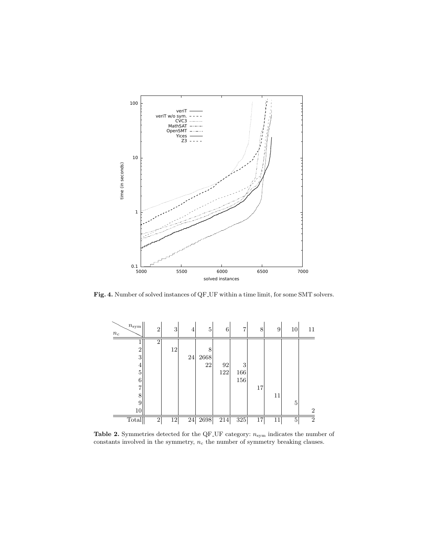

Fig. 4. Number of solved instances of QF UF within a time limit, for some SMT solvers.



Table 2. Symmetries detected for the QF<sub>-UF</sub> category:  $n_{sym}$  indicates the number of constants involved in the symmetry,  $n_c$  the number of symmetry breaking clauses.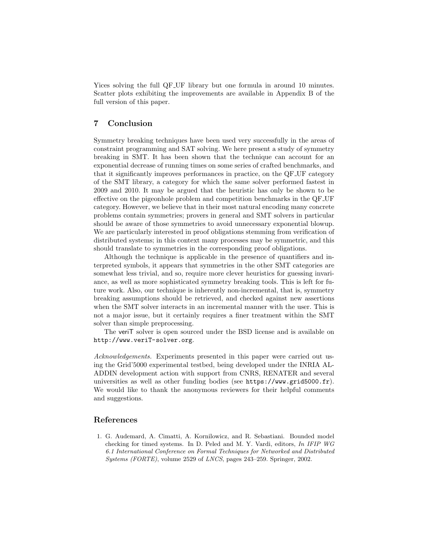Yices solving the full QF UF library but one formula in around 10 minutes. Scatter plots exhibiting the improvements are available in Appendix B of the full version of this paper.

## 7 Conclusion

Symmetry breaking techniques have been used very successfully in the areas of constraint programming and SAT solving. We here present a study of symmetry breaking in SMT. It has been shown that the technique can account for an exponential decrease of running times on some series of crafted benchmarks, and that it significantly improves performances in practice, on the QF UF category of the SMT library, a category for which the same solver performed fastest in 2009 and 2010. It may be argued that the heuristic has only be shown to be effective on the pigeonhole problem and competition benchmarks in the QF UF category. However, we believe that in their most natural encoding many concrete problems contain symmetries; provers in general and SMT solvers in particular should be aware of those symmetries to avoid unnecessary exponential blowup. We are particularly interested in proof obligations stemming from verification of distributed systems; in this context many processes may be symmetric, and this should translate to symmetries in the corresponding proof obligations.

Although the technique is applicable in the presence of quantifiers and interpreted symbols, it appears that symmetries in the other SMT categories are somewhat less trivial, and so, require more clever heuristics for guessing invariance, as well as more sophisticated symmetry breaking tools. This is left for future work. Also, our technique is inherently non-incremental, that is, symmetry breaking assumptions should be retrieved, and checked against new assertions when the SMT solver interacts in an incremental manner with the user. This is not a major issue, but it certainly requires a finer treatment within the SMT solver than simple preprocessing.

The veriT solver is open sourced under the BSD license and is available on http://www.veriT-solver.org.

Acknowledgements. Experiments presented in this paper were carried out using the Grid'5000 experimental testbed, being developed under the INRIA AL-ADDIN development action with support from CNRS, RENATER and several universities as well as other funding bodies (see https://www.grid5000.fr). We would like to thank the anonymous reviewers for their helpful comments and suggestions.

## References

1. G. Audemard, A. Cimatti, A. Kornilowicz, and R. Sebastiani. Bounded model checking for timed systems. In D. Peled and M. Y. Vardi, editors, In IFIP WG 6.1 International Conference on Formal Techniques for Networked and Distributed Systems (FORTE), volume 2529 of LNCS, pages 243–259. Springer, 2002.